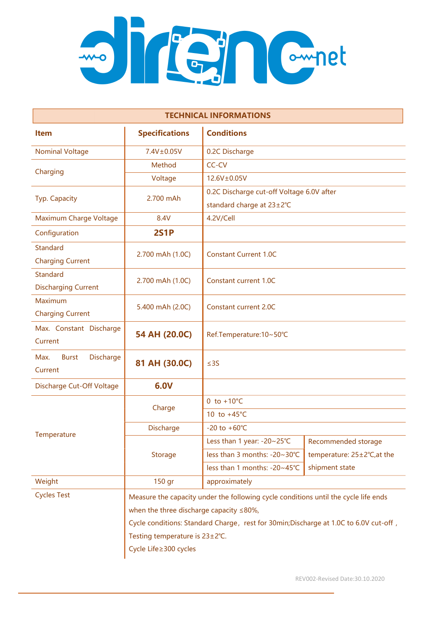

| <b>TECHNICAL INFORMATIONS</b>                 |                                                                                       |                                           |                             |  |
|-----------------------------------------------|---------------------------------------------------------------------------------------|-------------------------------------------|-----------------------------|--|
| <b>Item</b>                                   | <b>Specifications</b>                                                                 | <b>Conditions</b>                         |                             |  |
| <b>Nominal Voltage</b>                        | 7.4V±0.05V                                                                            | 0.2C Discharge                            |                             |  |
| Charging                                      | Method                                                                                | CC-CV                                     |                             |  |
|                                               | Voltage                                                                               | 12.6V±0.05V                               |                             |  |
| Typ. Capacity                                 | 2.700 mAh                                                                             | 0.2C Discharge cut-off Voltage 6.0V after |                             |  |
|                                               |                                                                                       | standard charge at 23±2°C                 |                             |  |
| Maximum Charge Voltage                        | 8.4V                                                                                  | 4.2V/Cell                                 |                             |  |
| Configuration                                 | <b>2S1P</b>                                                                           |                                           |                             |  |
| <b>Standard</b><br><b>Charging Current</b>    | 2.700 mAh (1.0C)                                                                      | <b>Constant Current 1.0C</b>              |                             |  |
| <b>Standard</b><br><b>Discharging Current</b> | 2.700 mAh (1.0C)                                                                      | Constant current 1.0C                     |                             |  |
| Maximum<br><b>Charging Current</b>            | 5.400 mAh (2.0C)                                                                      | <b>Constant current 2.0C</b>              |                             |  |
| Max. Constant Discharge<br>Current            | 54 AH (20.0C)                                                                         | Ref.Temperature:10~50°C                   |                             |  |
| Discharge<br>Max.<br><b>Burst</b><br>Current  | 81 AH (30.0C)                                                                         | $\leq$ 3S                                 |                             |  |
| Discharge Cut-Off Voltage                     | 6.0V                                                                                  |                                           |                             |  |
| Temperature                                   | Charge                                                                                | 0 to $+10^{\circ}$ C                      |                             |  |
|                                               |                                                                                       | 10 to $+45^{\circ}$ C                     |                             |  |
|                                               | Discharge                                                                             | $-20$ to $+60^{\circ}$ C                  |                             |  |
|                                               | <b>Storage</b>                                                                        | Less than 1 year: -20~25°C                | Recommended storage         |  |
|                                               |                                                                                       | less than 3 months: -20~30°C              | temperature: 25±2°C, at the |  |
|                                               |                                                                                       | less than 1 months: -20~45°C              | shipment state              |  |
| Weight                                        | 150 gr                                                                                | approximately                             |                             |  |
| <b>Cycles Test</b>                            | Measure the capacity under the following cycle conditions until the cycle life ends   |                                           |                             |  |
|                                               | when the three discharge capacity $\leq 80\%$ ,                                       |                                           |                             |  |
|                                               | Cycle conditions: Standard Charge, rest for 30min; Discharge at 1.0C to 6.0V cut-off, |                                           |                             |  |
|                                               | Testing temperature is 23±2℃.                                                         |                                           |                             |  |
|                                               | Cycle Life≥300 cycles                                                                 |                                           |                             |  |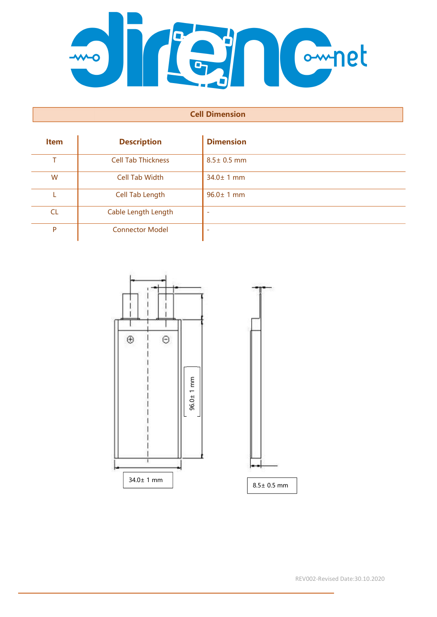

## Cell Dimension

| <b>Item</b> | <b>Description</b>        | <b>Dimension</b> |
|-------------|---------------------------|------------------|
| т           | <b>Cell Tab Thickness</b> | $8.5 \pm 0.5$ mm |
| W           | <b>Cell Tab Width</b>     | $34.0 \pm 1$ mm  |
|             | Cell Tab Length           | $96.0 \pm 1$ mm  |
| <b>CL</b>   | Cable Length Length       |                  |
| P           | <b>Connector Model</b>    |                  |



REV002-Revised Date:30.10.2020